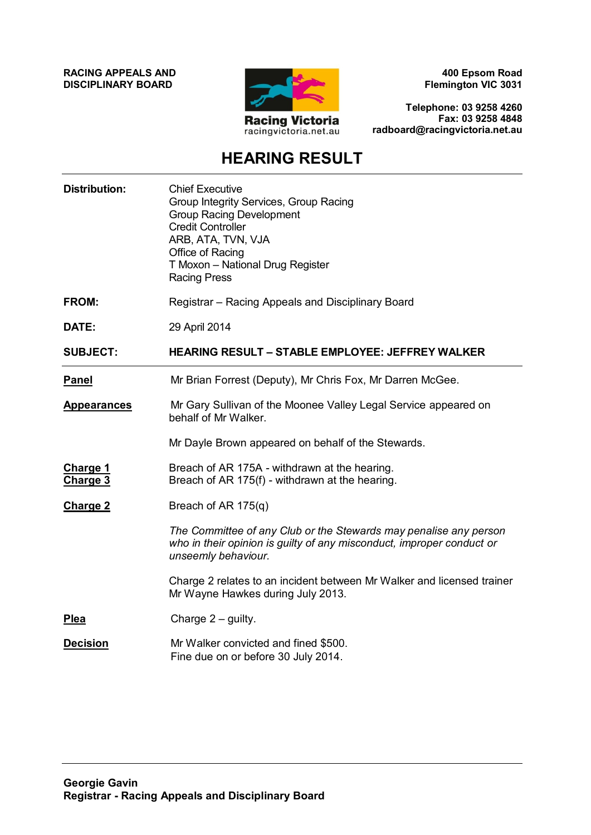**RACING APPEALS AND DISCIPLINARY BOARD**



**400 Epsom Road Flemington VIC 3031**

**Telephone: 03 9258 4260 Fax: 03 9258 4848 radboard@racingvictoria.net.au**

# **HEARING RESULT**

| <b>Distribution:</b>        | <b>Chief Executive</b><br>Group Integrity Services, Group Racing<br><b>Group Racing Development</b><br><b>Credit Controller</b><br>ARB, ATA, TVN, VJA<br>Office of Racing<br>T Moxon - National Drug Register<br><b>Racing Press</b> |
|-----------------------------|--------------------------------------------------------------------------------------------------------------------------------------------------------------------------------------------------------------------------------------|
| <b>FROM:</b>                | Registrar - Racing Appeals and Disciplinary Board                                                                                                                                                                                    |
| DATE:                       | 29 April 2014                                                                                                                                                                                                                        |
| <b>SUBJECT:</b>             | <b>HEARING RESULT - STABLE EMPLOYEE: JEFFREY WALKER</b>                                                                                                                                                                              |
| <b>Panel</b>                | Mr Brian Forrest (Deputy), Mr Chris Fox, Mr Darren McGee.                                                                                                                                                                            |
| <b>Appearances</b>          | Mr Gary Sullivan of the Moonee Valley Legal Service appeared on<br>behalf of Mr Walker.                                                                                                                                              |
|                             | Mr Dayle Brown appeared on behalf of the Stewards.                                                                                                                                                                                   |
| <b>Charge 1</b><br>Charge 3 | Breach of AR 175A - withdrawn at the hearing.<br>Breach of AR 175(f) - withdrawn at the hearing.                                                                                                                                     |
| <b>Charge 2</b>             | Breach of AR 175(q)                                                                                                                                                                                                                  |
|                             | The Committee of any Club or the Stewards may penalise any person<br>who in their opinion is guilty of any misconduct, improper conduct or<br>unseemly behaviour.                                                                    |
|                             | Charge 2 relates to an incident between Mr Walker and licensed trainer<br>Mr Wayne Hawkes during July 2013.                                                                                                                          |
| Plea                        | Charge $2$ – guilty.                                                                                                                                                                                                                 |
| <b>Decision</b>             | Mr Walker convicted and fined \$500.<br>Fine due on or before 30 July 2014.                                                                                                                                                          |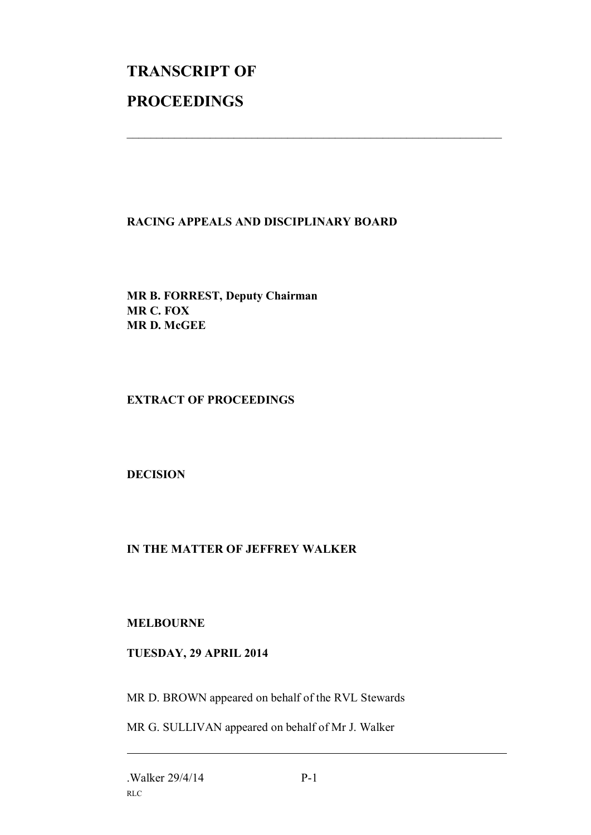# **TRANSCRIPT OF PROCEEDINGS**

#### **RACING APPEALS AND DISCIPLINARY BOARD**

 $\mathcal{L}_\text{max}$  , and the contribution of the contribution of the contribution of the contribution of the contribution of the contribution of the contribution of the contribution of the contribution of the contribution of t

**MR B. FORREST, Deputy Chairman MR C. FOX MR D. McGEE**

### **EXTRACT OF PROCEEDINGS**

# **DECISION**

# **IN THE MATTER OF JEFFREY WALKER**

#### **MELBOURNE**

#### **TUESDAY, 29 APRIL 2014**

MR D. BROWN appeared on behalf of the RVL Stewards

MR G. SULLIVAN appeared on behalf of Mr J. Walker